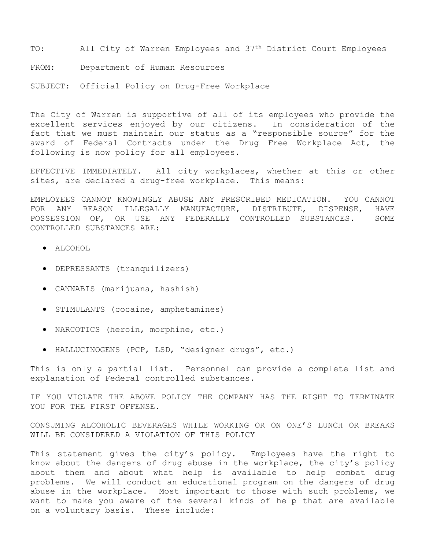TO: All City of Warren Employees and 37<sup>th</sup> District Court Employees

FROM: Department of Human Resources

SUBJECT: Official Policy on Drug-Free Workplace

The City of Warren is supportive of all of its employees who provide the excellent services enjoyed by our citizens. In consideration of the fact that we must maintain our status as a "responsible source" for the award of Federal Contracts under the Drug Free Workplace Act, the following is now policy for all employees.

EFFECTIVE IMMEDIATELY. All city workplaces, whether at this or other sites, are declared a drug-free workplace. This means:

EMPLOYEES CANNOT KNOWINGLY ABUSE ANY PRESCRIBED MEDICATION. YOU CANNOT FOR ANY REASON ILLEGALLY MANUFACTURE, DISTRIBUTE, DISPENSE, HAVE POSSESSION OF, OR USE ANY FEDERALLY CONTROLLED SUBSTANCES. SOME CONTROLLED SUBSTANCES ARE:

- ALCOHOL
- DEPRESSANTS (tranquilizers)
- CANNABIS (marijuana, hashish)
- STIMULANTS (cocaine, amphetamines)
- NARCOTICS (heroin, morphine, etc.)
- HALLUCINOGENS (PCP, LSD, "designer drugs", etc.)

This is only a partial list. Personnel can provide a complete list and explanation of Federal controlled substances.

IF YOU VIOLATE THE ABOVE POLICY THE COMPANY HAS THE RIGHT TO TERMINATE YOU FOR THE FIRST OFFENSE.

CONSUMING ALCOHOLIC BEVERAGES WHILE WORKING OR ON ONE'S LUNCH OR BREAKS WILL BE CONSIDERED A VIOLATION OF THIS POLICY

This statement gives the city's policy. Employees have the right to know about the dangers of drug abuse in the workplace, the city's policy about them and about what help is available to help combat drug problems. We will conduct an educational program on the dangers of drug abuse in the workplace. Most important to those with such problems, we want to make you aware of the several kinds of help that are available on a voluntary basis. These include: